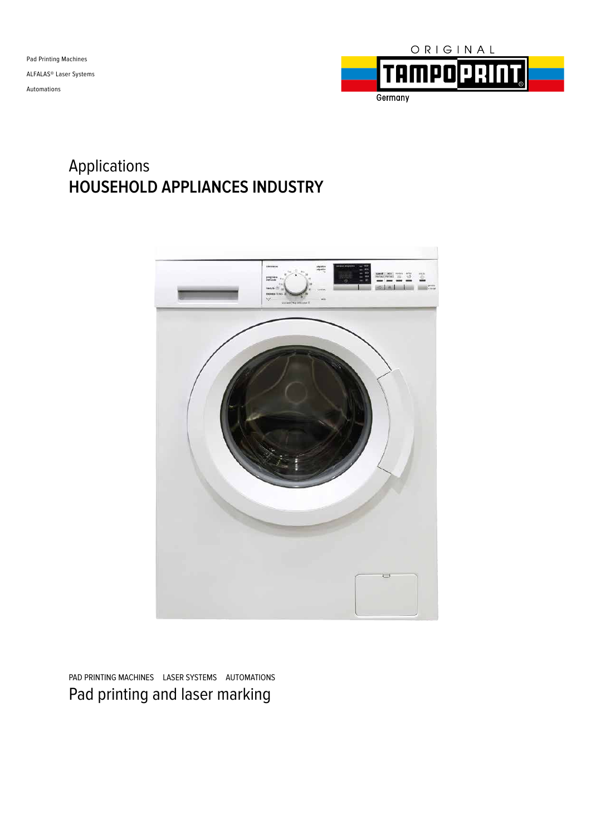

### Applications **HOUSEHOLD APPLIANCES INDUSTRY**



PAD PRINTING MACHINES LASER SYSTEMS AUTOMATIONS Pad printing and laser marking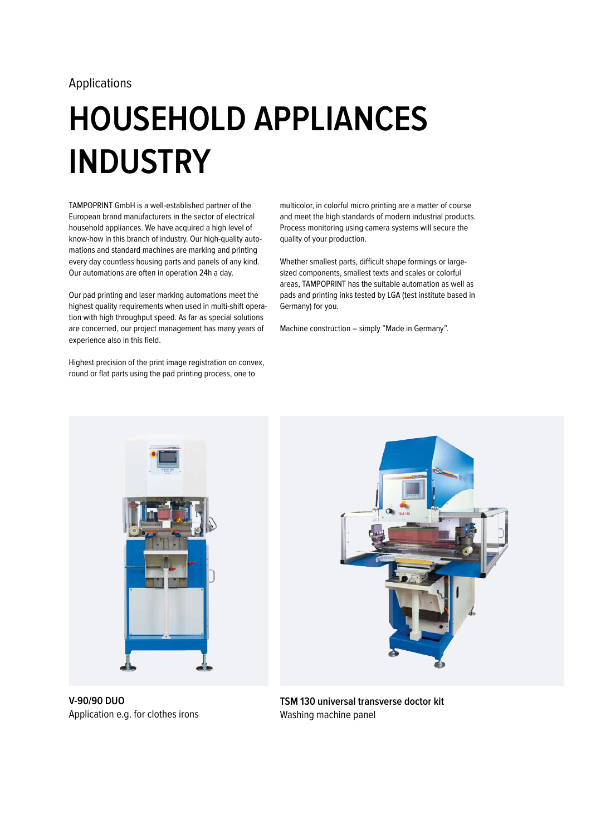# **HOUSEHOLD APPLIANCES INDUSTRY**

TAMPOPRINT GmbH is a well-established partner of the European brand manufacturers in the sector of electrical household appliances. We have acquired a high level of know-how in this branch of industry. Our high-quality automations and standard machines are marking and printing every day countless housing parts and panels of any kind. Our automations are often in operation 24h a day.

Our pad printing and laser marking automations meet the highest quality requirements when used in multi-shift operation with high throughput speed. As far as special solutions are concerned, our project management has many years of experience also in this field.

Highest precision of the print image registration on convex, round or flat parts using the pad printing process, one to

multicolor, in colorful micro printing are a matter of course and meet the high standards of modern industrial products. Process monitoring using camera systems will secure the quality of your production.

Whether smallest parts, difficult shape formings or largesized components, smallest texts and scales or colorful areas, TAMPOPRINT has the suitable automation as well as pads and printing inks tested by LGA (test institute based in Germany) for you.

Machine construction – simply "Made in Germany".





**V-90/90 DUO** Application e.g. for clothes irons

**TSM 130 universal transverse doctor kit**  Washing machine panel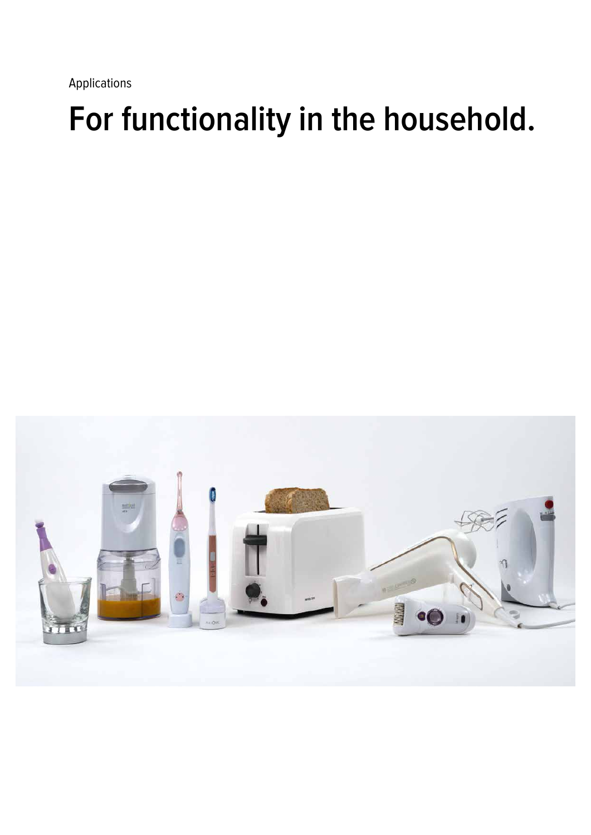## **For functionality in the household.**

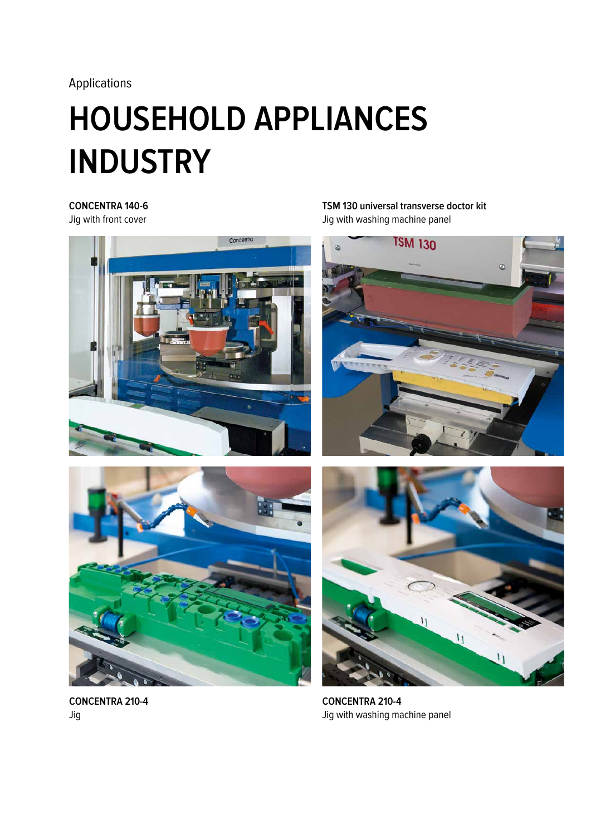# **HOUSEHOLD APPLIANCES INDUSTRY**

### **CONCENTRA 140-6**

Jig with front cover



**TSM 130 universal transverse doctor kit**  Jig with washing machine panel







**CONCENTRA 210-4** Jig

**CONCENTRA 210-4** Jig with washing machine panel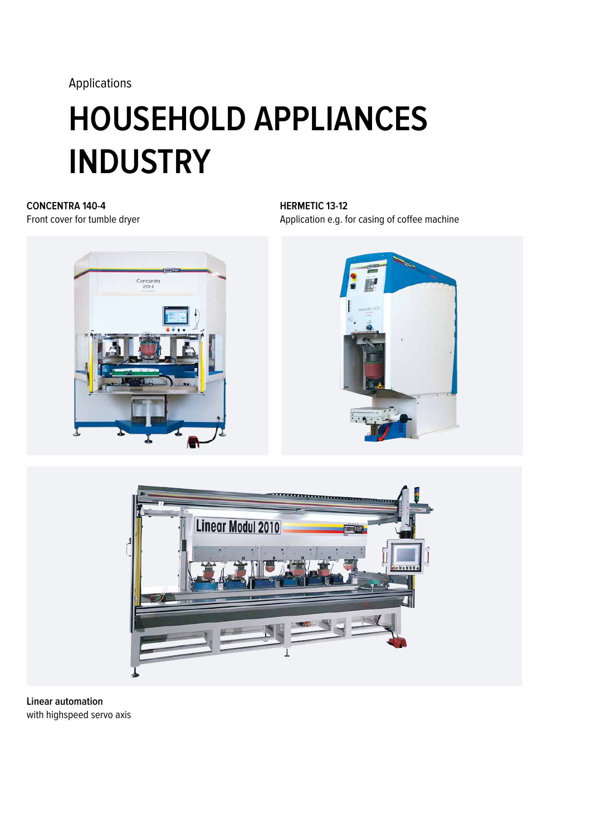# **HOUSEHOLD APPLIANCES INDUSTRY**

### **CONCENTRA 140-4** Front cover for tumble dryer



**HERMETIC 13-12** Application e.g. for casing of coffee machine





**Linear automation** with highspeed servo axis